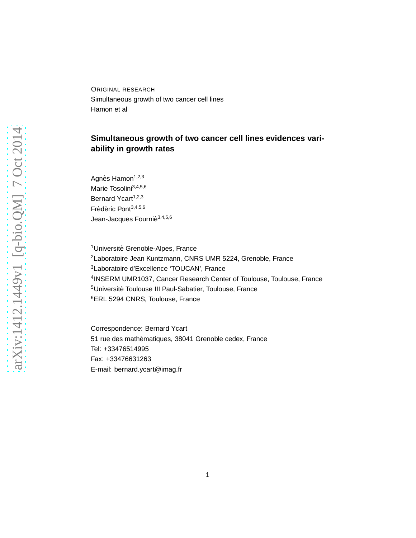ORIGINAL RESEARCH Simultaneous growth of two cancer cell lines Hamon et al

# **Simultaneous growth of two cancer cell lines evidences variability in growth rates**

Agnès Hamon<sup>1,2,3</sup> Marie Tosolini<sup>3,4,5,6</sup> Bernard Ycart<sup>1,2,3</sup> Frédéric Pont<sup>3,4,5,6</sup> Jean-Jacques Fournié<sup>3,4,5,6</sup>

<sup>1</sup>Université Grenoble-Alpes, France Laboratoire Jean Kuntzmann, CNRS UMR 5224, Grenoble, France Laboratoire d'Excellence 'TOUCAN', France INSERM UMR1037, Cancer Research Center of Toulouse, Toulouse, France <sup>5</sup>Université Toulouse III Paul-Sabatier, Toulouse, France ERL 5294 CNRS, Toulouse, France

Correspondence: Bernard Ycart 51 rue des mathématiques, 38041 Grenoble cedex, France Tel: +33476514995 Fax: +33476631263 E-mail: bernard.ycart@imag.fr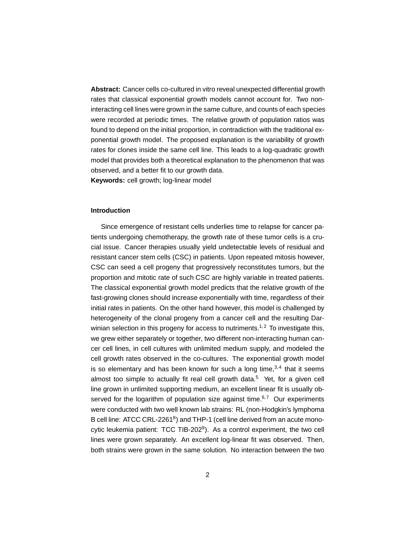**Abstract:** Cancer cells co-cultured in vitro reveal unexpected differential growth rates that classical exponential growth models cannot account for. Two noninteracting cell lines were grown in the same culture, and counts of each species were recorded at periodic times. The relative growth of population ratios was found to depend on the initial proportion, in contradiction with the traditional exponential growth model. The proposed explanation is the variability of growth rates for clones inside the same cell line. This leads to a log-quadratic growth model that provides both a theoretical explanation to the phenomenon that was observed, and a better fit to our growth data.

**Keywords:** cell growth; log-linear model

# **Introduction**

Since emergence of resistant cells underlies time to relapse for cancer patients undergoing chemotherapy, the growth rate of these tumor cells is a crucial issue. Cancer therapies usually yield undetectable levels of residual and resistant cancer stem cells (CSC) in patients. Upon repeated mitosis however, CSC can seed a cell progeny that progressively reconstitutes tumors, but the proportion and mitotic rate of such CSC are highly variable in treated patients. The classical exponential growth model predicts that the relative growth of the fast-growing clones should increase exponentially with time, regardless of their initial rates in patients. On the other hand however, this model is challenged by heterogeneity of the clonal progeny from a cancer cell and the resulting Darwinian selection in this progeny for access to nutriments.<sup>1,2</sup> To investigate this, we grew either separately or together, two different non-interacting human cancer cell lines, in cell cultures with unlimited medium supply, and modeled the cell growth rates observed in the co-cultures. The exponential growth model is so elementary and has been known for such a long time, $3,4$  that it seems almost too simple to actually fit real cell growth data.<sup>5</sup> Yet, for a given cell line grown in unlimited supporting medium, an excellent linear fit is usually observed for the logarithm of population size against time. $6,7$  Our experiments were conducted with two well known lab strains: RL (non-Hodgkin's lymphoma B cell line: ATCC CRL-2261<sup>8</sup>) and THP-1 (cell line derived from an acute monocytic leukemia patient: TCC TIB-202<sup>9</sup>). As a control experiment, the two cell lines were grown separately. An excellent log-linear fit was observed. Then, both strains were grown in the same solution. No interaction between the two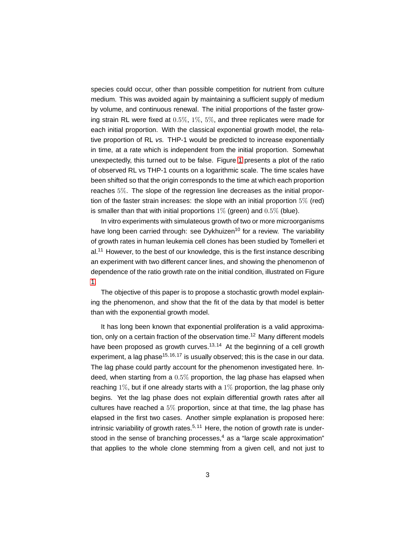species could occur, other than possible competition for nutrient from culture medium. This was avoided again by maintaining a sufficient supply of medium by volume, and continuous renewal. The initial proportions of the faster growing strain RL were fixed at 0.5%, 1%, 5%, and three replicates were made for each initial proportion. With the classical exponential growth model, the relative proportion of RL vs. THP-1 would be predicted to increase exponentially in time, at a rate which is independent from the initial proportion. Somewhat unexpectedly, this turned out to be false. Figure [1](#page-3-0) presents a plot of the ratio of observed RL vs THP-1 counts on a logarithmic scale. The time scales have been shifted so that the origin corresponds to the time at which each proportion reaches 5%. The slope of the regression line decreases as the initial proportion of the faster strain increases: the slope with an initial proportion 5% (red) is smaller than that with initial proportions  $1\%$  (green) and  $0.5\%$  (blue).

In vitro experiments with simulateous growth of two or more microorganisms have long been carried through: see Dykhuizen<sup>10</sup> for a review. The variability of growth rates in human leukemia cell clones has been studied by Tomelleri et  $al<sup>11</sup>$  However, to the best of our knowledge, this is the first instance describing an experiment with two different cancer lines, and showing the phenomenon of dependence of the ratio growth rate on the initial condition, illustrated on Figure [1.](#page-3-0)

The objective of this paper is to propose a stochastic growth model explaining the phenomenon, and show that the fit of the data by that model is better than with the exponential growth model.

It has long been known that exponential proliferation is a valid approximation, only on a certain fraction of the observation time.<sup>12</sup> Many different models have been proposed as growth curves.<sup>13,14</sup> At the beginning of a cell growth experiment, a lag phase<sup>15,16,17</sup> is usually observed; this is the case in our data. The lag phase could partly account for the phenomenon investigated here. Indeed, when starting from a 0.5% proportion, the lag phase has elapsed when reaching 1%, but if one already starts with a 1% proportion, the lag phase only begins. Yet the lag phase does not explain differential growth rates after all cultures have reached a 5% proportion, since at that time, the lag phase has elapsed in the first two cases. Another simple explanation is proposed here: intrinsic variability of growth rates.<sup>5,11</sup> Here, the notion of growth rate is understood in the sense of branching processes,<sup>4</sup> as a "large scale approximation" that applies to the whole clone stemming from a given cell, and not just to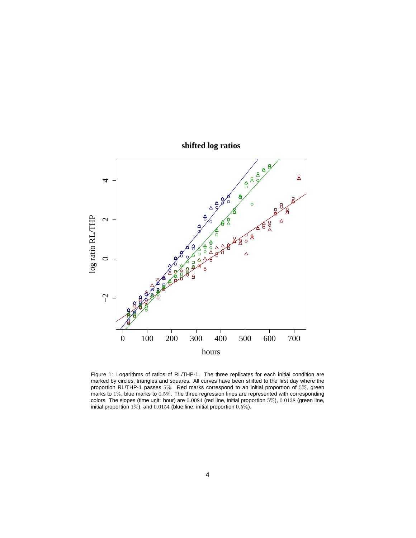

**shifted log ratios**

<span id="page-3-0"></span>Figure 1: Logarithms of ratios of RL/THP-1. The three replicates for each initial condition are marked by circles, triangles and squares. All curves have been shifted to the first day where the proportion RL/THP-1 passes 5%. Red marks correspond to an initial proportion of 5%, green marks to 1%, blue marks to 0.5%. The three regression lines are represented with corresponding colors. The slopes (time unit: hour) are 0.0084 (red line, initial proportion 5%), 0.0138 (green line, initial proportion 1%), and 0.0154 (blue line, initial proportion 0.5%).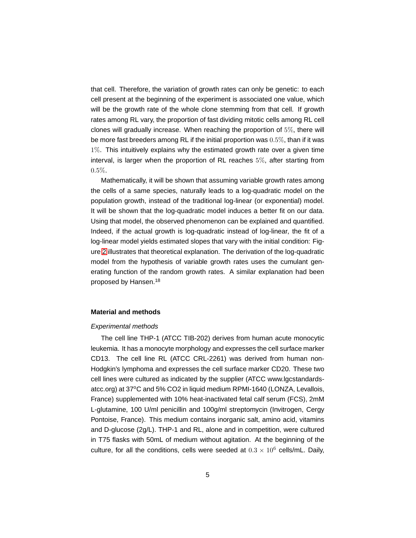that cell. Therefore, the variation of growth rates can only be genetic: to each cell present at the beginning of the experiment is associated one value, which will be the growth rate of the whole clone stemming from that cell. If growth rates among RL vary, the proportion of fast dividing mitotic cells among RL cell clones will gradually increase. When reaching the proportion of 5%, there will be more fast breeders among RL if the initial proportion was  $0.5\%$ , than if it was 1%. This intuitively explains why the estimated growth rate over a given time interval, is larger when the proportion of RL reaches 5%, after starting from  $0.5\%$ .

Mathematically, it will be shown that assuming variable growth rates among the cells of a same species, naturally leads to a log-quadratic model on the population growth, instead of the traditional log-linear (or exponential) model. It will be shown that the log-quadratic model induces a better fit on our data. Using that model, the observed phenomenon can be explained and quantified. Indeed, if the actual growth is log-quadratic instead of log-linear, the fit of a log-linear model yields estimated slopes that vary with the initial condition: Figure [2](#page-5-0) illustrates that theoretical explanation. The derivation of the log-quadratic model from the hypothesis of variable growth rates uses the cumulant generating function of the random growth rates. A similar explanation had been proposed by Hansen.<sup>18</sup>

#### **Material and methods**

#### Experimental methods

The cell line THP-1 (ATCC TIB-202) derives from human acute monocytic leukemia. It has a monocyte morphology and expresses the cell surface marker CD13. The cell line RL (ATCC CRL-2261) was derived from human non-Hodgkin's lymphoma and expresses the cell surface marker CD20. These two cell lines were cultured as indicated by the supplier (ATCC www.lgcstandardsatcc.org) at 37°C and 5% CO2 in liquid medium RPMI-1640 (LONZA, Levallois, France) supplemented with 10% heat-inactivated fetal calf serum (FCS), 2mM L-glutamine, 100 U/ml penicillin and 100g/ml streptomycin (Invitrogen, Cergy Pontoise, France). This medium contains inorganic salt, amino acid, vitamins and D-glucose (2g/L). THP-1 and RL, alone and in competition, were cultured in T75 flasks with 50mL of medium without agitation. At the beginning of the culture, for all the conditions, cells were seeded at  $0.3 \times 10^6$  cells/mL. Daily,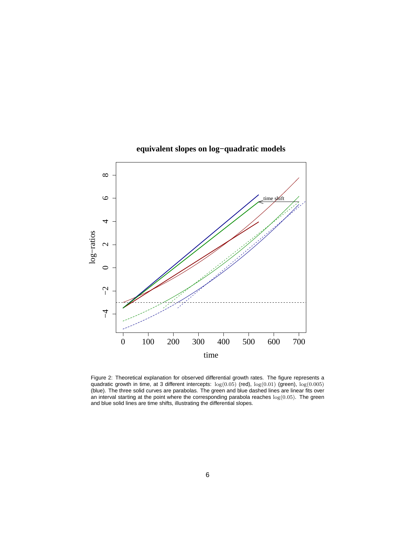

# **equivalent slopes on log−quadratic models**

<span id="page-5-0"></span>Figure 2: Theoretical explanation for observed differential growth rates. The figure represents a quadratic growth in time, at 3 different intercepts:  $\log(0.05)$  (red),  $\log(0.01)$  (green),  $\log(0.005)$ (blue). The three solid curves are parabolas. The green and blue dashed lines are linear fits over an interval starting at the point where the corresponding parabola reaches  $\log(0.05)$ . The green and blue solid lines are time shifts, illustrating the differential slopes.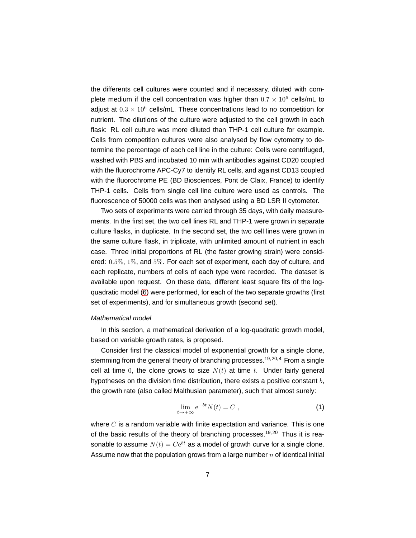the differents cell cultures were counted and if necessary, diluted with complete medium if the cell concentration was higher than  $0.7 \times 10^6$  cells/mL to adjust at  $0.3 \times 10^6$  cells/mL. These concentrations lead to no competition for nutrient. The dilutions of the culture were adjusted to the cell growth in each flask: RL cell culture was more diluted than THP-1 cell culture for example. Cells from competition cultures were also analysed by flow cytometry to determine the percentage of each cell line in the culture: Cells were centrifuged, washed with PBS and incubated 10 min with antibodies against CD20 coupled with the fluorochrome APC-Cy7 to identify RL cells, and against CD13 coupled with the fluorochrome PE (BD Biosciences, Pont de Claix, France) to identify THP-1 cells. Cells from single cell line culture were used as controls. The fluorescence of 50000 cells was then analysed using a BD LSR II cytometer.

Two sets of experiments were carried through 35 days, with daily measurements. In the first set, the two cell lines RL and THP-1 were grown in separate culture flasks, in duplicate. In the second set, the two cell lines were grown in the same culture flask, in triplicate, with unlimited amount of nutrient in each case. Three initial proportions of RL (the faster growing strain) were considered: 0.5%, 1%, and 5%. For each set of experiment, each day of culture, and each replicate, numbers of cells of each type were recorded. The dataset is available upon request. On these data, different least square fits of the logquadratic model [\(6\)](#page-8-0) were performed, for each of the two separate growths (first set of experiments), and for simultaneous growth (second set).

# Mathematical model

In this section, a mathematical derivation of a log-quadratic growth model, based on variable growth rates, is proposed.

Consider first the classical model of exponential growth for a single clone, stemming from the general theory of branching processes.<sup>19,20,4</sup> From a single cell at time 0, the clone grows to size  $N(t)$  at time t. Under fairly general hypotheses on the division time distribution, there exists a positive constant  $b$ , the growth rate (also called Malthusian parameter), such that almost surely:

$$
\lim_{t \to +\infty} e^{-bt} N(t) = C \;, \tag{1}
$$

where  $C$  is a random variable with finite expectation and variance. This is one of the basic results of the theory of branching processes.<sup>19,20</sup> Thus it is reasonable to assume  $N(t) = Ce^{bt}$  as a model of growth curve for a single clone. Assume now that the population grows from a large number  $n$  of identical initial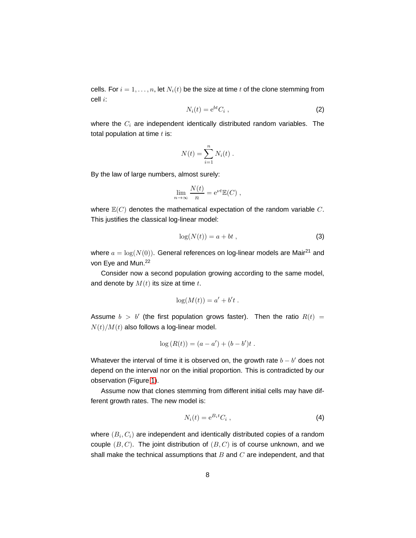cells. For  $i = 1, \ldots, n$ , let  $N_i(t)$  be the size at time t of the clone stemming from cell i:

$$
N_i(t) = e^{bt} C_i , \qquad (2)
$$

where the  $C_i$  are independent identically distributed random variables. The total population at time  $t$  is:

$$
N(t) = \sum_{i=1}^{n} N_i(t) .
$$

By the law of large numbers, almost surely:

$$
\lim_{n \to \infty} \frac{N(t)}{n} = e^{\nu t} \mathbb{E}(C) ,
$$

where  $\mathbb{E}(C)$  denotes the mathematical expectation of the random variable C. This justifies the classical log-linear model:

$$
\log(N(t)) = a + bt \tag{3}
$$

where  $a = \log(N(0))$ . General references on log-linear models are Mair<sup>21</sup> and von Eye and Mun.<sup>22</sup>

Consider now a second population growing according to the same model, and denote by  $M(t)$  its size at time t.

$$
\log(M(t)) = a' + b't.
$$

Assume  $b > b'$  (the first population grows faster). Then the ratio  $R(t) =$  $N(t)/M(t)$  also follows a log-linear model.

$$
log(R(t)) = (a - a') + (b - b')t.
$$

Whatever the interval of time it is observed on, the growth rate  $b - b'$  does not depend on the interval nor on the initial proportion. This is contradicted by our observation (Figure [1\)](#page-3-0).

Assume now that clones stemming from different initial cells may have different growth rates. The new model is:

$$
N_i(t) = e^{B_i t} C_i \t{,}
$$
\t(4)

where  $(B_i, C_i)$  are independent and identically distributed copies of a random couple  $(B, C)$ . The joint distribution of  $(B, C)$  is of course unknown, and we shall make the technical assumptions that  $B$  and  $C$  are independent, and that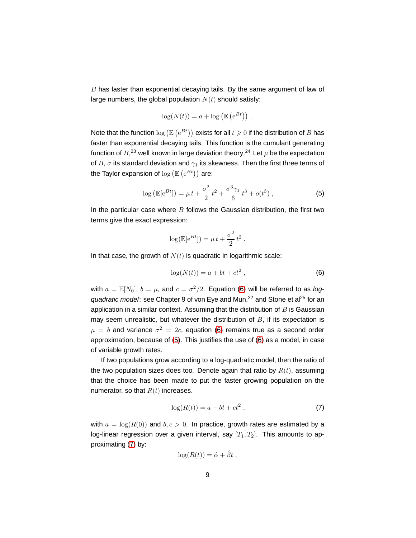$B$  has faster than exponential decaying tails. By the same argument of law of large numbers, the global population  $N(t)$  should satisfy:

$$
\log(N(t)) = a + \log(\mathbb{E}(e^{Bt})) .
$$

Note that the function  $\log (\mathbb{E}\left(e^{Bt}\right))$  exists for all  $t\geqslant 0$  if the distribution of  $B$  has faster than exponential decaying tails. This function is the cumulant generating function of  $B^{23}$  well known in large deviation theory.<sup>24</sup> Let  $\mu$  be the expectation of B,  $\sigma$  its standard deviation and  $\gamma_1$  its skewness. Then the first three terms of the Taylor expansion of  $\log \left( \mathbb{E}\left( \mathrm{e}^{B t}\right) \right)$  are:

<span id="page-8-1"></span>
$$
\log\left(\mathbb{E}[\mathrm{e}^{Bt}]\right) = \mu t + \frac{\sigma^2}{2}t^2 + \frac{\sigma^3 \gamma_1}{6}t^3 + o(t^3) \,,\tag{5}
$$

In the particular case where  $B$  follows the Gaussian distribution, the first two terms give the exact expression:

$$
\log(\mathbb{E}[e^{Bt}]) = \mu t + \frac{\sigma^2}{2} t^2.
$$

In that case, the growth of  $N(t)$  is quadratic in logarithmic scale:

<span id="page-8-0"></span>
$$
\log(N(t)) = a + bt + ct^2 , \qquad (6)
$$

with  $a = \mathbb{E}[N_0], b = \mu$ , and  $c = \sigma^2/2$ . Equation [\(6\)](#page-8-0) will be referred to as logquadratic model: see Chapter 9 of von Eye and Mun,<sup>22</sup> and Stone et al<sup>25</sup> for an application in a similar context. Assuming that the distribution of  $B$  is Gaussian may seem unrealistic, but whatever the distribution of  $B$ , if its expectation is  $\mu = b$  and variance  $\sigma^2 = 2c$ , equation [\(6\)](#page-8-0) remains true as a second order approximation, because of [\(5\)](#page-8-1). This justifies the use of [\(6\)](#page-8-0) as a model, in case of variable growth rates.

If two populations grow according to a log-quadratic model, then the ratio of the two population sizes does too. Denote again that ratio by  $R(t)$ , assuming that the choice has been made to put the faster growing population on the numerator, so that  $R(t)$  increases.

<span id="page-8-2"></span>
$$
\log(R(t)) = a + bt + ct^2 , \qquad (7)
$$

with  $a = \log(R(0))$  and  $b, c > 0$ . In practice, growth rates are estimated by a log-linear regression over a given interval, say  $[T_1, T_2]$ . This amounts to approximating [\(7\)](#page-8-2) by:

$$
\log(R(t)) = \hat{\alpha} + \hat{\beta}t ,
$$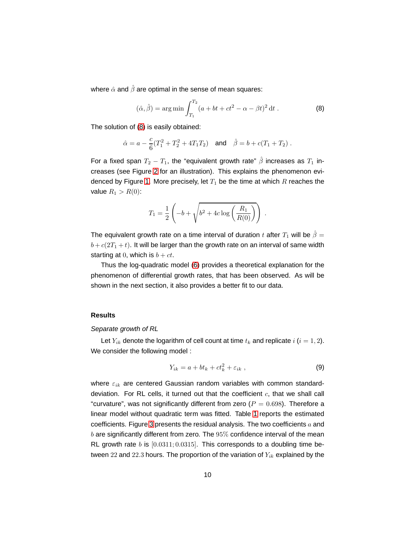where  $\hat{\alpha}$  and  $\hat{\beta}$  are optimal in the sense of mean squares:

<span id="page-9-0"></span>
$$
(\hat{\alpha}, \hat{\beta}) = \arg \min \int_{T_1}^{T_2} (a + bt + ct^2 - \alpha - \beta t)^2 dt
$$
. (8)

The solution of [\(8\)](#page-9-0) is easily obtained:

$$
\hat{\alpha} = a - \frac{c}{6}(T_1^2 + T_2^2 + 4T_1T_2)
$$
 and  $\hat{\beta} = b + c(T_1 + T_2)$ .

For a fixed span  $T_2 - T_1$ , the "equivalent growth rate"  $\hat{\beta}$  increases as  $T_1$  increases (see Figure [2](#page-5-0) for an illustration). This explains the phenomenon evi-denced by Figure [1.](#page-3-0) More precisely, let  $T_1$  be the time at which R reaches the value  $R_1 > R(0)$ :

$$
T_1 = \frac{1}{2} \left( -b + \sqrt{b^2 + 4c \log \left( \frac{R_1}{R(0)} \right)} \right) .
$$

The equivalent growth rate on a time interval of duration t after  $T_1$  will be  $\hat{\beta} =$  $b + c(2T_1 + t)$ . It will be larger than the growth rate on an interval of same width starting at 0, which is  $b + ct$ .

Thus the log-quadratic model [\(6\)](#page-8-0) provides a theoretical explanation for the phenomenon of differential growth rates, that has been observed. As will be shown in the next section, it also provides a better fit to our data.

### **Results**

# Separate growth of RL

Let  $Y_{ik}$  denote the logarithm of cell count at time  $t_k$  and replicate  $i$  ( $i = 1, 2$ ). We consider the following model :

<span id="page-9-1"></span>
$$
Y_{ik} = a + bt_k + ct_k^2 + \varepsilon_{ik} , \qquad (9)
$$

where  $\varepsilon_{ik}$  are centered Gaussian random variables with common standarddeviation. For RL cells, it turned out that the coefficient  $c$ , that we shall call "curvature", was not significantly different from zero ( $P = 0.698$ ). Therefore a linear model without quadratic term was fitted. Table [1](#page-10-0) reports the estimated coefficients. Figure [3](#page-11-0) presents the residual analysis. The two coefficients  $a$  and  $b$  are significantly different from zero. The  $95\%$  confidence interval of the mean RL growth rate  $b$  is  $[0.0311; 0.0315]$ . This corresponds to a doubling time between 22 and 22.3 hours. The proportion of the variation of  $Y_{ik}$  explained by the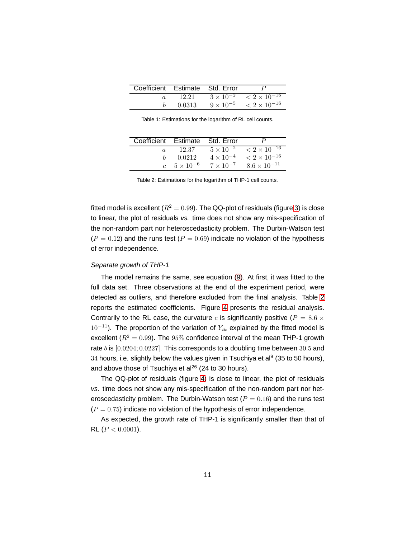| Coefficient Estimate Std. Error |        |                                                    |
|---------------------------------|--------|----------------------------------------------------|
| $\alpha$                        |        | $12.21 \t 3 \times 10^{-2} \t < 2 \times 10^{-16}$ |
|                                 | 0.0313 | $9 \times 10^{-5}$ $\leq 2 \times 10^{-16}$        |

<span id="page-10-0"></span>Table 1: Estimations for the logarithm of RL cell counts.

| Coefficient Estimate Std. Error |                                         |                    |                                             |
|---------------------------------|-----------------------------------------|--------------------|---------------------------------------------|
| $\alpha$                        | 12.37                                   |                    | $5 \times 10^{-2}$ $\leq 2 \times 10^{-16}$ |
| h                               | 0.0212                                  | $4 \times 10^{-4}$ | $< 2 \times 10^{-16}$                       |
|                                 | c $5 \times 10^{-6}$ $7 \times 10^{-7}$ |                    | $8.6 \times 10^{-11}$                       |

<span id="page-10-1"></span>Table 2: Estimations for the logarithm of THP-1 cell counts.

fitted model is excellent ( $R^2 = 0.99$ ). The QQ-plot of residuals (figure [3\)](#page-11-0) is close to linear, the plot of residuals vs. time does not show any mis-specification of the non-random part nor heteroscedasticity problem. The Durbin-Watson test  $(P = 0.12)$  and the runs test  $(P = 0.69)$  indicate no violation of the hypothesis of error independence.

### Separate growth of THP-1

The model remains the same, see equation [\(9\)](#page-9-1). At first, it was fitted to the full data set. Three observations at the end of the experiment period, were detected as outliers, and therefore excluded from the final analysis. Table [2](#page-10-1) reports the estimated coefficients. Figure [4](#page-12-0) presents the residual analysis. Contrarily to the RL case, the curvature c is significantly positive ( $P = 8.6 \times$  $10^{-11}$ ). The proportion of the variation of  $Y_{ik}$  explained by the fitted model is excellent ( $R^2 = 0.99$ ). The 95% confidence interval of the mean THP-1 growth rate  $b$  is  $[0.0204; 0.0227]$ . This corresponds to a doubling time between 30.5 and  $34$  hours, i.e. slightly below the values given in Tsuchiya et al $9$  (35 to 50 hours), and above those of Tsuchiya et al<sup>26</sup> (24 to 30 hours).

The QQ-plot of residuals (figure [4\)](#page-12-0) is close to linear, the plot of residuals vs. time does not show any mis-specification of the non-random part nor heteroscedasticity problem. The Durbin-Watson test ( $P = 0.16$ ) and the runs test  $(P = 0.75)$  indicate no violation of the hypothesis of error independence.

As expected, the growth rate of THP-1 is significantly smaller than that of RL ( $P < 0.0001$ ).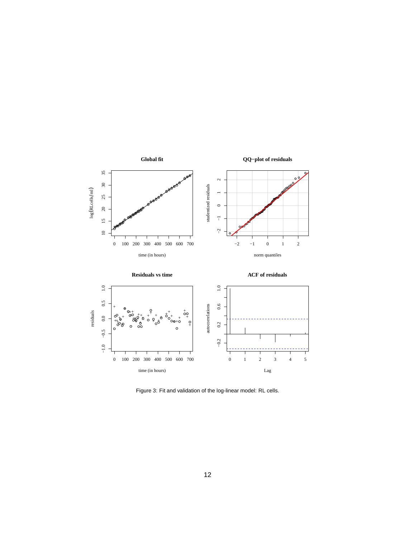

<span id="page-11-0"></span>Figure 3: Fit and validation of the log-linear model: RL cells.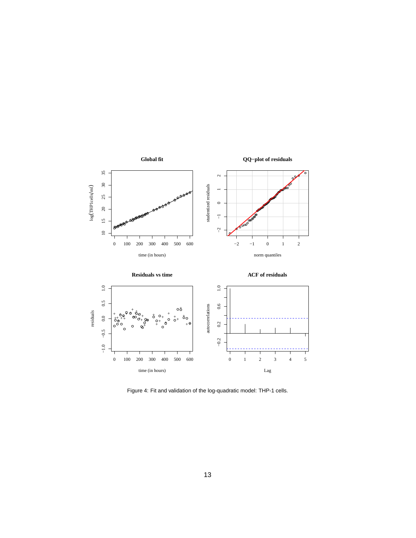

<span id="page-12-0"></span>Figure 4: Fit and validation of the log-quadratic model: THP-1 cells.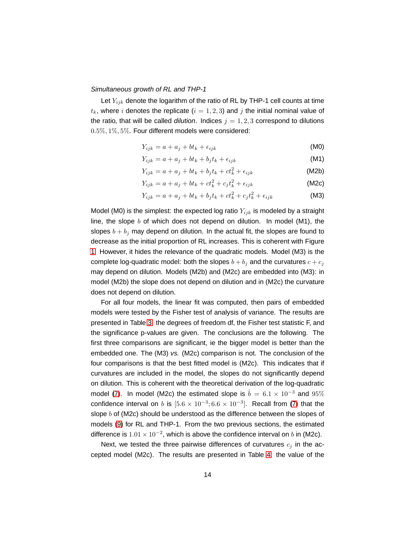#### Simultaneous growth of RL and THP-1

Let  $Y_{ijk}$  denote the logarithm of the ratio of RL by THP-1 cell counts at time  $t_k$ , where i denotes the replicate  $(i = 1, 2, 3)$  and j the initial nominal value of the ratio, that will be called *dilution*. Indices  $j = 1, 2, 3$  correspond to dilutions 0.5%, 1%, 5%. Four different models were considered:

$$
Y_{ijk} = a + a_j + bt_k + \epsilon_{ijk}
$$
 (M0)

$$
Y_{ijk} = a + a_j + bt_k + b_jt_k + \epsilon_{ijk}
$$
\n(M1)

$$
Y_{ijk} = a + a_j + bt_k + b_jt_k + ct_k^2 + \epsilon_{ijk}
$$
 (M2b)

$$
Y_{ijk} = a + a_j + bt_k + ct_k^2 + c_jt_k^2 + \epsilon_{ijk}
$$
 (M2c)

$$
Y_{ijk} = a + a_j + bt_k + b_jt_k + ct_k^2 + c_jt_k^2 + \epsilon_{ijk}
$$
 (M3)

Model (M0) is the simplest: the expected log ratio  $Y_{ijk}$  is modeled by a straight line, the slope  $b$  of which does not depend on dilution. In model (M1), the slopes  $b + b_j$  may depend on dilution. In the actual fit, the slopes are found to decrease as the initial proportion of RL increases. This is coherent with Figure [1.](#page-3-0) However, it hides the relevance of the quadratic models. Model (M3) is the complete log-quadratic model: both the slopes  $b + b_j$  and the curvatures  $c + c_j$ may depend on dilution. Models (M2b) and (M2c) are embedded into (M3): in model (M2b) the slope does not depend on dilution and in (M2c) the curvature does not depend on dilution.

For all four models, the linear fit was computed, then pairs of embedded models were tested by the Fisher test of analysis of variance. The results are presented in Table [3:](#page-14-0) the degrees of freedom df, the Fisher test statistic F, and the significance p-values are given. The conclusions are the following. The first three comparisons are significant, ie the bigger model is better than the embedded one. The (M3) vs. (M2c) comparison is not. The conclusion of the four comparisons is that the best fitted model is (M2c). This indicates that if curvatures are included in the model, the slopes do not significantly depend on dilution. This is coherent with the theoretical derivation of the log-quadratic model [\(7\)](#page-8-2). In model (M2c) the estimated slope is  $\hat{b} = 6.1 \times 10^{-3}$  and  $95\%$ confidence interval on b is  $[5.6 \times 10^{-3}; 6.6 \times 10^{-3}]$ . Recall from [\(7\)](#page-8-2) that the slope  $b$  of (M2c) should be understood as the difference between the slopes of models [\(9\)](#page-9-1) for RL and THP-1. From the two previous sections, the estimated difference is  $1.01 \times 10^{-2}$ , which is above the confidence interval on b in (M2c).

Next, we tested the three pairwise differences of curvatures  $c_j$  in the accepted model (M2c). The results are presented in Table [4:](#page-14-1) the value of the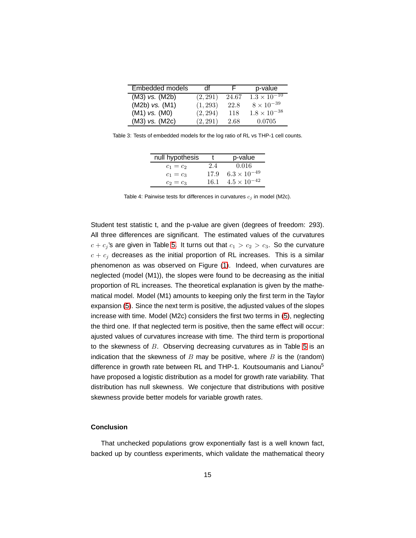| Embedded models    | df       | F.    | p-value                          |
|--------------------|----------|-------|----------------------------------|
| $(M3)$ vs. $(M2b)$ | (2, 291) | 24.67 | $1.3 \times \overline{10^{-10}}$ |
| $(M2b)$ vs. $(M1)$ | (1, 293) | 22.8  | $8 \times 10^{-39}$              |
| $(M1)$ vs. $(M0)$  | (2, 294) | 118   | $1.8 \times 10^{-38}$            |
| $(M3)$ vs. $(M2c)$ | (2, 291) | 2.68  | 0.0705                           |

Table 3: Tests of embedded models for the log ratio of RL vs THP-1 cell counts.

<span id="page-14-0"></span>

| null hypothesis |      | p-value               |
|-----------------|------|-----------------------|
| $c_1 = c_2$     | 24   | 0.016                 |
| $c_1 = c_3$     | 17.9 | $6.3 \times 10^{-49}$ |
| $c_2 = c_3$     | 16.1 | $4.5 \times 10^{-42}$ |

<span id="page-14-1"></span>Table 4: Pairwise tests for differences in curvatures  $c_j$  in model (M2c).

Student test statistic t, and the p-value are given (degrees of freedom: 293). All three differences are significant. The estimated values of the curvatures  $c + c_j$ 's are given in Table [5.](#page-15-0) It turns out that  $c_1 > c_2 > c_3$ . So the curvature  $c + c_j$  decreases as the initial proportion of RL increases. This is a similar phenomenon as was observed on Figure [\(1\)](#page-3-0). Indeed, when curvatures are neglected (model (M1)), the slopes were found to be decreasing as the initial proportion of RL increases. The theoretical explanation is given by the mathematical model. Model (M1) amounts to keeping only the first term in the Taylor expansion [\(5\)](#page-8-1). Since the next term is positive, the adjusted values of the slopes increase with time. Model (M2c) considers the first two terms in [\(5\)](#page-8-1), neglecting the third one. If that neglected term is positive, then the same effect will occur: ajusted values of curvatures increase with time. The third term is proportional to the skewness of  $B$ . Observing decreasing curvatures as in Table [5](#page-15-0) is an indication that the skewness of  $B$  may be positive, where  $B$  is the (random) difference in growth rate between RL and THP-1. Koutsoumanis and Lianou<sup>5</sup> have proposed a logistic distribution as a model for growth rate variability. That distribution has null skewness. We conjecture that distributions with positive skewness provide better models for variable growth rates.

# **Conclusion**

That unchecked populations grow exponentially fast is a well known fact, backed up by countless experiments, which validate the mathematical theory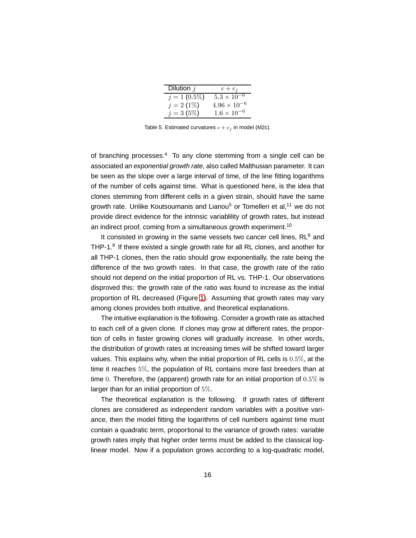| Dilution $j$    | $c+c_j$               |  |
|-----------------|-----------------------|--|
| $j = 1 (0.5\%)$ | $5.3 \times 10^{-6}$  |  |
| $j = 2(1\%)$    | $4.96 \times 10^{-6}$ |  |
| $j = 3(5\%)$    | $1.6 \times 10^{-6}$  |  |

<span id="page-15-0"></span>Table 5: Estimated curvatures  $c + c_j$  in model (M2c).

of branching processes. $4$  To any clone stemming from a single cell can be associated an exponential growth rate, also called Malthusian parameter. It can be seen as the slope over a large interval of time, of the line fitting logarithms of the number of cells against time. What is questioned here, is the idea that clones stemming from different cells in a given strain, should have the same growth rate. Unlike Koutsoumanis and Lianou<sup>5</sup> or Tomelleri et al.<sup>11</sup> we do not provide direct evidence for the intrinsic variablility of growth rates, but instead an indirect proof, coming from a simultaneous growth experiment.<sup>10</sup>

It consisted in growing in the same vessels two cancer cell lines,  $RL<sup>8</sup>$  and THP-1. $9$  If there existed a single growth rate for all RL clones, and another for all THP-1 clones, then the ratio should grow exponentially, the rate being the difference of the two growth rates. In that case, the growth rate of the ratio should not depend on the initial proportion of RL vs. THP-1. Our observations disproved this: the growth rate of the ratio was found to increase as the initial proportion of RL decreased (Figure [1\)](#page-3-0). Assuming that growth rates may vary among clones provides both intuitive, and theoretical explanations.

The intuitive explanation is the following. Consider a growth rate as attached to each cell of a given clone. If clones may grow at different rates, the proportion of cells in faster growing clones will gradually increase. In other words, the distribution of growth rates at increasing times will be shifted toward larger values. This explains why, when the initial proportion of RL cells is 0.5%, at the time it reaches 5%, the population of RL contains more fast breeders than at time 0. Therefore, the (apparent) growth rate for an initial proportion of  $0.5\%$  is larger than for an initial proportion of 5%.

The theoretical explanation is the following. If growth rates of different clones are considered as independent random variables with a positive variance, then the model fitting the logarithms of cell numbers against time must contain a quadratic term, proportional to the variance of growth rates: variable growth rates imply that higher order terms must be added to the classical loglinear model. Now if a population grows according to a log-quadratic model,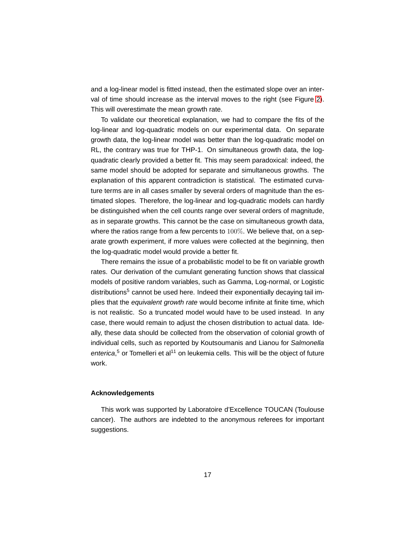and a log-linear model is fitted instead, then the estimated slope over an interval of time should increase as the interval moves to the right (see Figure [2\)](#page-5-0). This will overestimate the mean growth rate.

To validate our theoretical explanation, we had to compare the fits of the log-linear and log-quadratic models on our experimental data. On separate growth data, the log-linear model was better than the log-quadratic model on RL, the contrary was true for THP-1. On simultaneous growth data, the logquadratic clearly provided a better fit. This may seem paradoxical: indeed, the same model should be adopted for separate and simultaneous growths. The explanation of this apparent contradiction is statistical. The estimated curvature terms are in all cases smaller by several orders of magnitude than the estimated slopes. Therefore, the log-linear and log-quadratic models can hardly be distinguished when the cell counts range over several orders of magnitude, as in separate growths. This cannot be the case on simultaneous growth data, where the ratios range from a few percents to 100%. We believe that, on a separate growth experiment, if more values were collected at the beginning, then the log-quadratic model would provide a better fit.

There remains the issue of a probabilistic model to be fit on variable growth rates. Our derivation of the cumulant generating function shows that classical models of positive random variables, such as Gamma, Log-normal, or Logistic distributions<sup>5</sup> cannot be used here. Indeed their exponentially decaying tail implies that the equivalent growth rate would become infinite at finite time, which is not realistic. So a truncated model would have to be used instead. In any case, there would remain to adjust the chosen distribution to actual data. Ideally, these data should be collected from the observation of colonial growth of individual cells, such as reported by Koutsoumanis and Lianou for Salmonella enterica,<sup>5</sup> or Tomelleri et al<sup>11</sup> on leukemia cells. This will be the object of future work.

# **Acknowledgements**

This work was supported by Laboratoire d'Excellence TOUCAN (Toulouse cancer). The authors are indebted to the anonymous referees for important suggestions.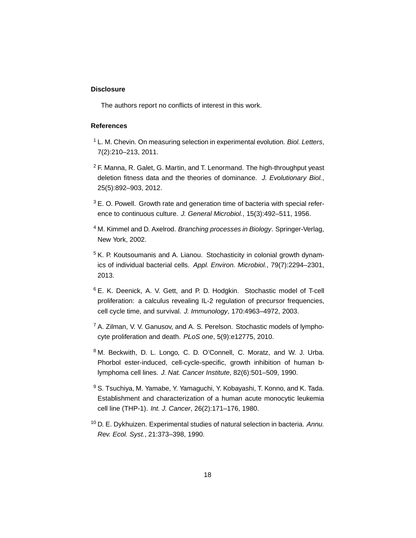# **Disclosure**

The authors report no conflicts of interest in this work.

# **References**

- $1$  L. M. Chevin. On measuring selection in experimental evolution. Biol. Letters, 7(2):210–213, 2011.
- $2$  F. Manna, R. Galet, G. Martin, and T. Lenormand. The high-throughput yeast deletion fitness data and the theories of dominance. J. Evolutionary Biol., 25(5):892–903, 2012.
- $3$  E. O. Powell. Growth rate and generation time of bacteria with special reference to continuous culture. J. General Microbiol., 15(3):492-511, 1956.
- <sup>4</sup> M. Kimmel and D. Axelrod. Branching processes in Biology. Springer-Verlag, New York, 2002.
- <sup>5</sup> K. P. Koutsoumanis and A. Lianou. Stochasticity in colonial growth dynamics of individual bacterial cells. Appl. Environ. Microbiol., 79(7):2294–2301, 2013.
- <sup>6</sup> E. K. Deenick, A. V. Gett, and P. D. Hodgkin. Stochastic model of T-cell proliferation: a calculus revealing IL-2 regulation of precursor frequencies, cell cycle time, and survival. J. Immunology, 170:4963–4972, 2003.
- $7$  A. Zilman, V. V. Ganusov, and A. S. Perelson. Stochastic models of lymphocyte proliferation and death. PLoS one, 5(9):e12775, 2010.
- <sup>8</sup> M. Beckwith, D. L. Longo, C. D. O'Connell, C. Moratz, and W. J. Urba. Phorbol ester-induced, cell-cycle-specific, growth inhibition of human blymphoma cell lines. J. Nat. Cancer Institute, 82(6):501–509, 1990.
- <sup>9</sup> S. Tsuchiya, M. Yamabe, Y. Yamaguchi, Y. Kobayashi, T. Konno, and K. Tada. Establishment and characterization of a human acute monocytic leukemia cell line (THP-1). Int. J. Cancer, 26(2):171–176, 1980.
- $10$  D. E. Dykhuizen. Experimental studies of natural selection in bacteria. Annu. Rev. Ecol. Syst., 21:373–398, 1990.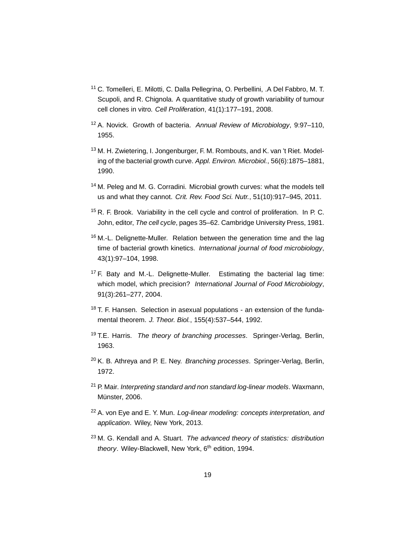- <sup>11</sup> C. Tomelleri, E. Milotti, C. Dalla Pellegrina, O. Perbellini, .A Del Fabbro, M. T. Scupoli, and R. Chignola. A quantitative study of growth variability of tumour cell clones in vitro. Cell Proliferation, 41(1):177–191, 2008.
- <sup>12</sup> A. Novick. Growth of bacteria. Annual Review of Microbiology, 9:97–110, 1955.
- <sup>13</sup> M. H. Zwietering, I. Jongenburger, F. M. Rombouts, and K. van 't Riet. Modeling of the bacterial growth curve. Appl. Environ. Microbiol., 56(6):1875–1881, 1990.
- <sup>14</sup> M. Peleg and M. G. Corradini. Microbial growth curves: what the models tell us and what they cannot. Crit. Rev. Food Sci. Nutr., 51(10):917–945, 2011.
- <sup>15</sup> R. F. Brook. Variability in the cell cycle and control of proliferation. In P. C. John, editor, The cell cycle, pages 35–62. Cambridge University Press, 1981.
- $16$  M.-L. Delignette-Muller. Relation between the generation time and the lag time of bacterial growth kinetics. International journal of food microbiology, 43(1):97–104, 1998.
- <sup>17</sup> F. Baty and M.-L. Delignette-Muller. Estimating the bacterial lag time: which model, which precision? International Journal of Food Microbiology, 91(3):261–277, 2004.
- <sup>18</sup> T. F. Hansen. Selection in asexual populations an extension of the fundamental theorem. J. Theor. Biol., 155(4):537–544, 1992.
- <sup>19</sup> T.E. Harris. The theory of branching processes. Springer-Verlag, Berlin, 1963.
- $20$  K. B. Athreya and P. E. Ney. *Branching processes*. Springer-Verlag, Berlin, 1972.
- $21$  P. Mair. Interpreting standard and non standard log-linear models. Waxmann, Münster, 2006.
- <sup>22</sup> A. von Eye and E. Y. Mun. Log-linear modeling: concepts interpretation, and application. Wiley, New York, 2013.
- $23$  M. G. Kendall and A. Stuart. The advanced theory of statistics: distribution theory. Wiley-Blackwell, New York, 6<sup>th</sup> edition, 1994.